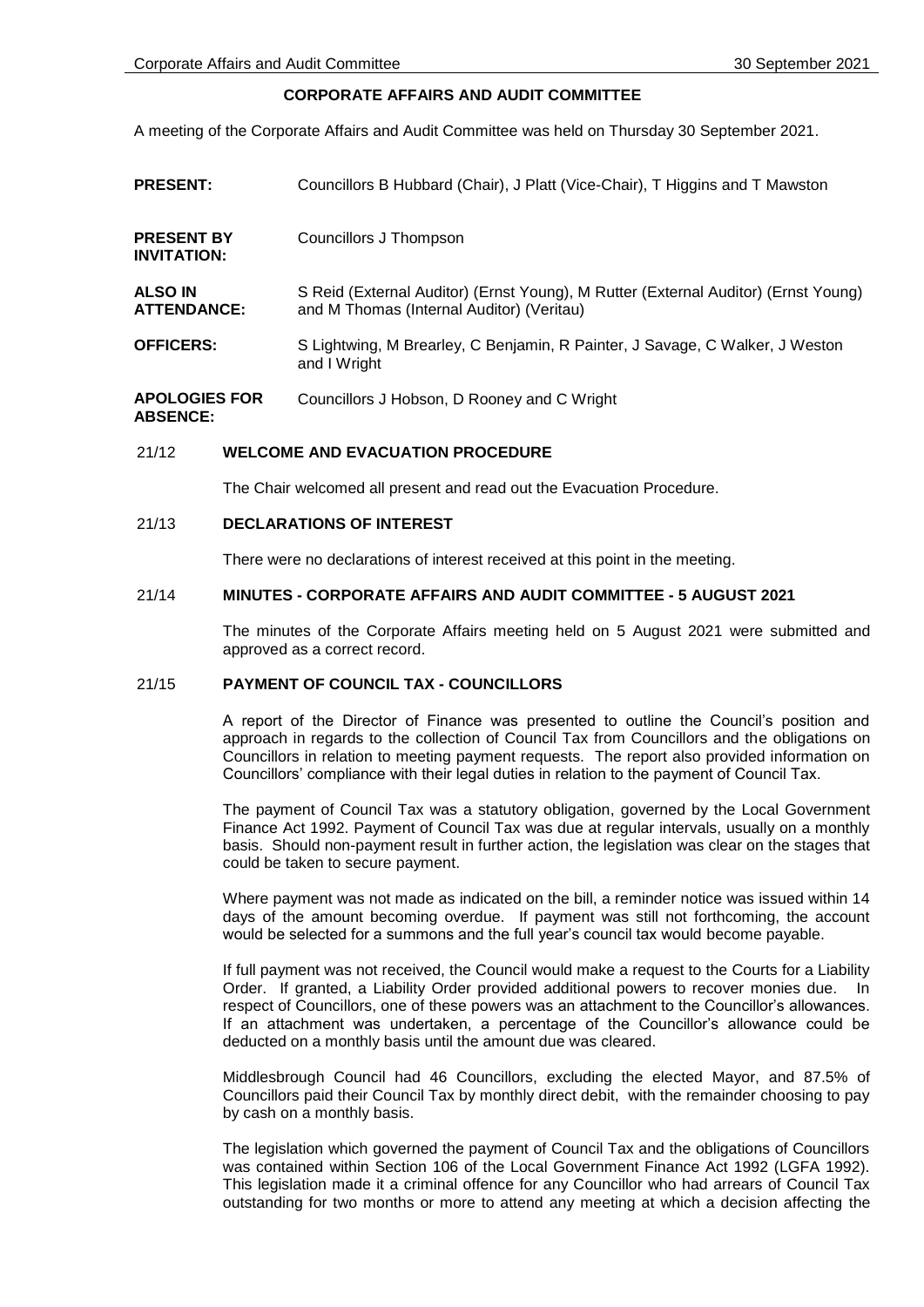# **CORPORATE AFFAIRS AND AUDIT COMMITTEE**

A meeting of the Corporate Affairs and Audit Committee was held on Thursday 30 September 2021.

| <b>PRESENT:</b>                         | Councillors B Hubbard (Chair), J Platt (Vice-Chair), T Higgins and T Mawston                                                    |
|-----------------------------------------|---------------------------------------------------------------------------------------------------------------------------------|
| <b>PRESENT BY</b><br><b>INVITATION:</b> | Councillors J Thompson                                                                                                          |
| <b>ALSO IN</b><br><b>ATTENDANCE:</b>    | S Reid (External Auditor) (Ernst Young), M Rutter (External Auditor) (Ernst Young)<br>and M Thomas (Internal Auditor) (Veritau) |
| <b>OFFICERS:</b>                        | S Lightwing, M Brearley, C Benjamin, R Painter, J Savage, C Walker, J Weston<br>and I Wright                                    |
| <b>APOLOGIES FOR</b><br><b>ABSENCE:</b> | Councillors J Hobson, D Rooney and C Wright                                                                                     |

## 21/12 **WELCOME AND EVACUATION PROCEDURE**

The Chair welcomed all present and read out the Evacuation Procedure.

#### 21/13 **DECLARATIONS OF INTEREST**

There were no declarations of interest received at this point in the meeting.

# 21/14 **MINUTES - CORPORATE AFFAIRS AND AUDIT COMMITTEE - 5 AUGUST 2021**

The minutes of the Corporate Affairs meeting held on 5 August 2021 were submitted and approved as a correct record.

## 21/15 **PAYMENT OF COUNCIL TAX - COUNCILLORS**

A report of the Director of Finance was presented to outline the Council's position and approach in regards to the collection of Council Tax from Councillors and the obligations on Councillors in relation to meeting payment requests. The report also provided information on Councillors' compliance with their legal duties in relation to the payment of Council Tax.

The payment of Council Tax was a statutory obligation, governed by the Local Government Finance Act 1992. Payment of Council Tax was due at regular intervals, usually on a monthly basis. Should non-payment result in further action, the legislation was clear on the stages that could be taken to secure payment.

Where payment was not made as indicated on the bill, a reminder notice was issued within 14 days of the amount becoming overdue. If payment was still not forthcoming, the account would be selected for a summons and the full year's council tax would become payable.

If full payment was not received, the Council would make a request to the Courts for a Liability Order. If granted, a Liability Order provided additional powers to recover monies due. In respect of Councillors, one of these powers was an attachment to the Councillor's allowances. If an attachment was undertaken, a percentage of the Councillor's allowance could be deducted on a monthly basis until the amount due was cleared.

Middlesbrough Council had 46 Councillors, excluding the elected Mayor, and 87.5% of Councillors paid their Council Tax by monthly direct debit, with the remainder choosing to pay by cash on a monthly basis.

The legislation which governed the payment of Council Tax and the obligations of Councillors was contained within Section 106 of the Local Government Finance Act 1992 (LGFA 1992). This legislation made it a criminal offence for any Councillor who had arrears of Council Tax outstanding for two months or more to attend any meeting at which a decision affecting the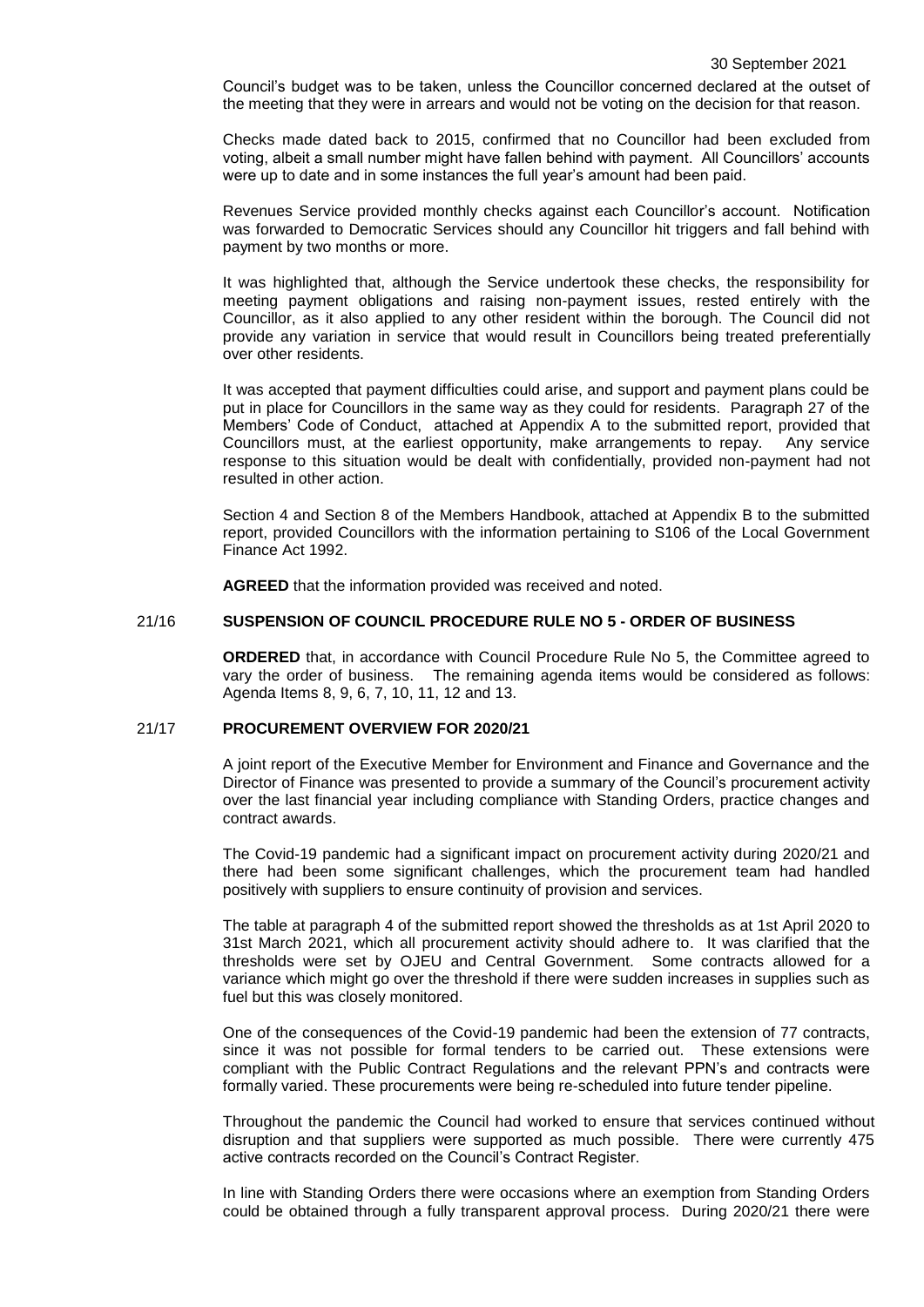Council's budget was to be taken, unless the Councillor concerned declared at the outset of the meeting that they were in arrears and would not be voting on the decision for that reason.

Checks made dated back to 2015, confirmed that no Councillor had been excluded from voting, albeit a small number might have fallen behind with payment. All Councillors' accounts were up to date and in some instances the full year's amount had been paid.

Revenues Service provided monthly checks against each Councillor's account. Notification was forwarded to Democratic Services should any Councillor hit triggers and fall behind with payment by two months or more.

It was highlighted that, although the Service undertook these checks, the responsibility for meeting payment obligations and raising non-payment issues, rested entirely with the Councillor, as it also applied to any other resident within the borough. The Council did not provide any variation in service that would result in Councillors being treated preferentially over other residents.

It was accepted that payment difficulties could arise, and support and payment plans could be put in place for Councillors in the same way as they could for residents. Paragraph 27 of the Members' Code of Conduct, attached at Appendix A to the submitted report, provided that Councillors must, at the earliest opportunity, make arrangements to repay. Any service response to this situation would be dealt with confidentially, provided non-payment had not resulted in other action.

Section 4 and Section 8 of the Members Handbook, attached at Appendix B to the submitted report, provided Councillors with the information pertaining to S106 of the Local Government Finance Act 1992.

**AGREED** that the information provided was received and noted.

# 21/16 **SUSPENSION OF COUNCIL PROCEDURE RULE NO 5 - ORDER OF BUSINESS**

**ORDERED** that, in accordance with Council Procedure Rule No 5, the Committee agreed to vary the order of business. The remaining agenda items would be considered as follows: Agenda Items 8, 9, 6, 7, 10, 11, 12 and 13.

# 21/17 **PROCUREMENT OVERVIEW FOR 2020/21**

A joint report of the Executive Member for Environment and Finance and Governance and the Director of Finance was presented to provide a summary of the Council's procurement activity over the last financial year including compliance with Standing Orders, practice changes and contract awards.

The Covid-19 pandemic had a significant impact on procurement activity during 2020/21 and there had been some significant challenges, which the procurement team had handled positively with suppliers to ensure continuity of provision and services.

The table at paragraph 4 of the submitted report showed the thresholds as at 1st April 2020 to 31st March 2021, which all procurement activity should adhere to. It was clarified that the thresholds were set by OJEU and Central Government. Some contracts allowed for a variance which might go over the threshold if there were sudden increases in supplies such as fuel but this was closely monitored.

One of the consequences of the Covid-19 pandemic had been the extension of 77 contracts, since it was not possible for formal tenders to be carried out. These extensions were compliant with the Public Contract Regulations and the relevant PPN's and contracts were formally varied. These procurements were being re-scheduled into future tender pipeline.

Throughout the pandemic the Council had worked to ensure that services continued without disruption and that suppliers were supported as much possible. There were currently 475 active contracts recorded on the Council's Contract Register.

In line with Standing Orders there were occasions where an exemption from Standing Orders could be obtained through a fully transparent approval process. During 2020/21 there were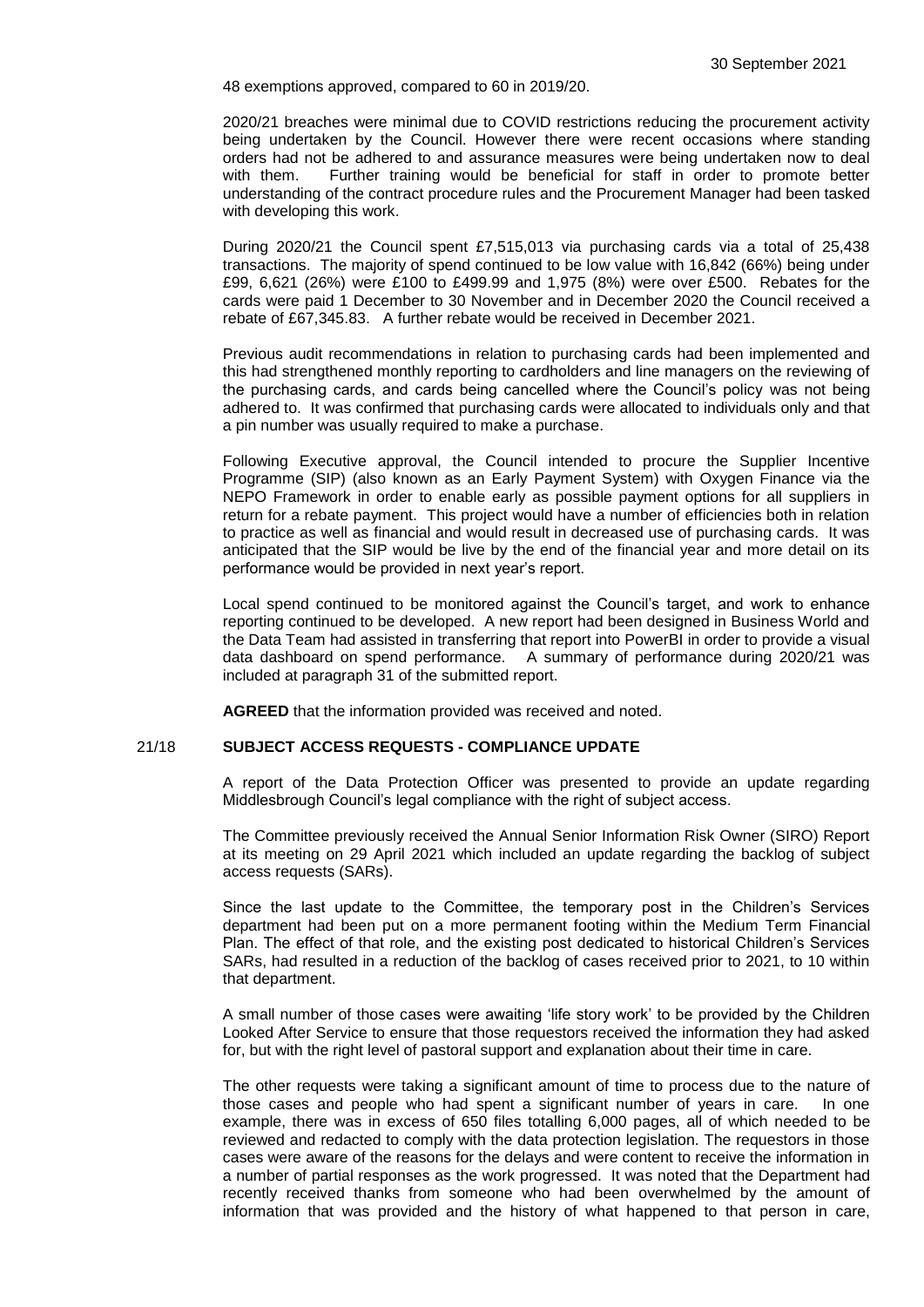48 exemptions approved, compared to 60 in 2019/20.

2020/21 breaches were minimal due to COVID restrictions reducing the procurement activity being undertaken by the Council. However there were recent occasions where standing orders had not be adhered to and assurance measures were being undertaken now to deal with them. Further training would be beneficial for staff in order to promote better understanding of the contract procedure rules and the Procurement Manager had been tasked with developing this work.

During 2020/21 the Council spent £7,515,013 via purchasing cards via a total of 25,438 transactions. The majority of spend continued to be low value with 16,842 (66%) being under £99, 6,621 (26%) were £100 to £499.99 and 1,975 (8%) were over £500. Rebates for the cards were paid 1 December to 30 November and in December 2020 the Council received a rebate of £67,345.83. A further rebate would be received in December 2021.

Previous audit recommendations in relation to purchasing cards had been implemented and this had strengthened monthly reporting to cardholders and line managers on the reviewing of the purchasing cards, and cards being cancelled where the Council's policy was not being adhered to. It was confirmed that purchasing cards were allocated to individuals only and that a pin number was usually required to make a purchase.

Following Executive approval, the Council intended to procure the Supplier Incentive Programme (SIP) (also known as an Early Payment System) with Oxygen Finance via the NEPO Framework in order to enable early as possible payment options for all suppliers in return for a rebate payment. This project would have a number of efficiencies both in relation to practice as well as financial and would result in decreased use of purchasing cards. It was anticipated that the SIP would be live by the end of the financial year and more detail on its performance would be provided in next year's report.

Local spend continued to be monitored against the Council's target, and work to enhance reporting continued to be developed. A new report had been designed in Business World and the Data Team had assisted in transferring that report into PowerBI in order to provide a visual data dashboard on spend performance. A summary of performance during 2020/21 was included at paragraph 31 of the submitted report.

**AGREED** that the information provided was received and noted.

# 21/18 **SUBJECT ACCESS REQUESTS - COMPLIANCE UPDATE**

A report of the Data Protection Officer was presented to provide an update regarding Middlesbrough Council's legal compliance with the right of subject access.

The Committee previously received the Annual Senior Information Risk Owner (SIRO) Report at its meeting on 29 April 2021 which included an update regarding the backlog of subject access requests (SARs).

Since the last update to the Committee, the temporary post in the Children's Services department had been put on a more permanent footing within the Medium Term Financial Plan. The effect of that role, and the existing post dedicated to historical Children's Services SARs, had resulted in a reduction of the backlog of cases received prior to 2021, to 10 within that department.

A small number of those cases were awaiting 'life story work' to be provided by the Children Looked After Service to ensure that those requestors received the information they had asked for, but with the right level of pastoral support and explanation about their time in care.

The other requests were taking a significant amount of time to process due to the nature of those cases and people who had spent a significant number of years in care. In one example, there was in excess of 650 files totalling 6,000 pages, all of which needed to be reviewed and redacted to comply with the data protection legislation. The requestors in those cases were aware of the reasons for the delays and were content to receive the information in a number of partial responses as the work progressed. It was noted that the Department had recently received thanks from someone who had been overwhelmed by the amount of information that was provided and the history of what happened to that person in care,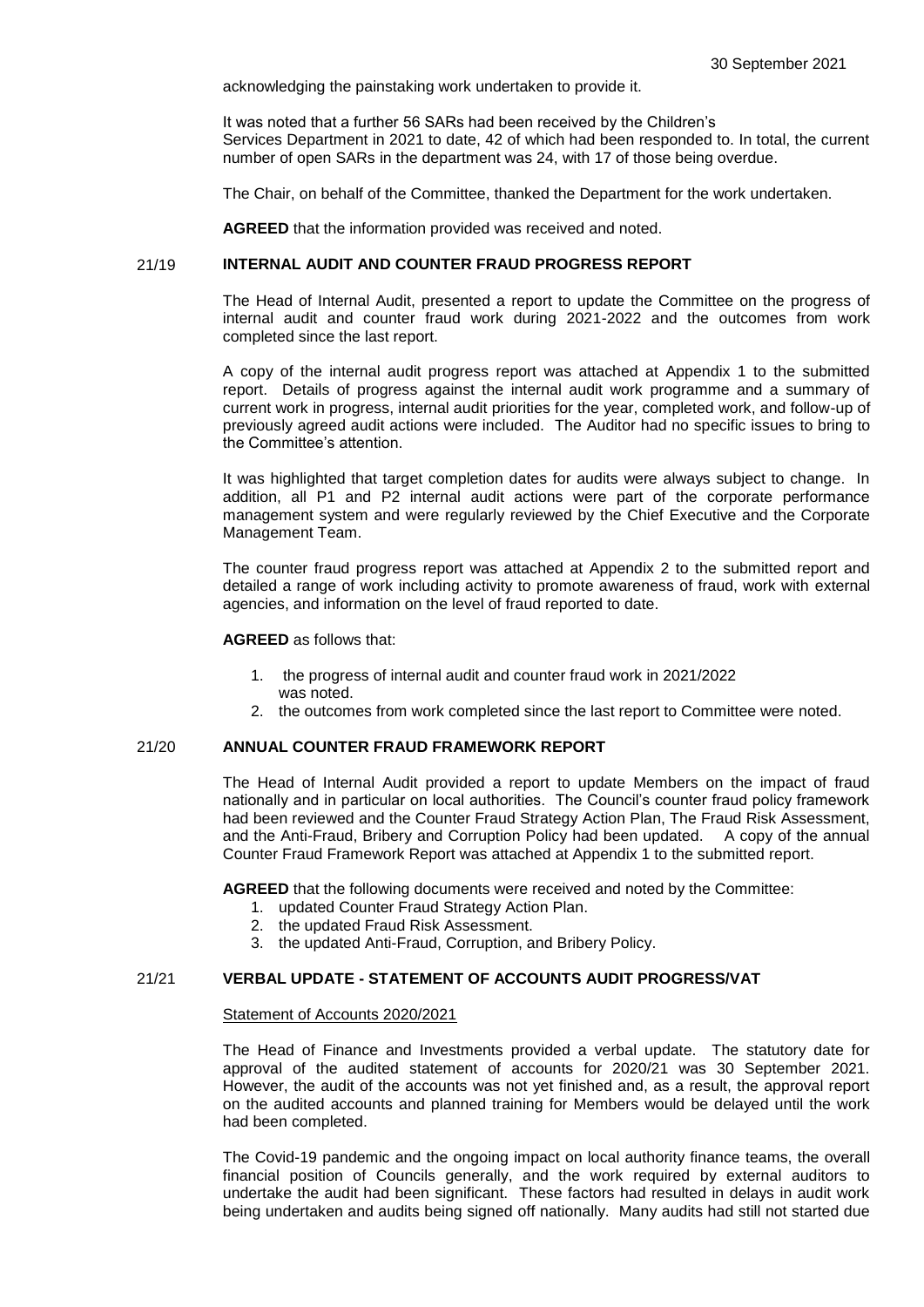acknowledging the painstaking work undertaken to provide it.

It was noted that a further 56 SARs had been received by the Children's Services Department in 2021 to date, 42 of which had been responded to. In total, the current number of open SARs in the department was 24, with 17 of those being overdue.

The Chair, on behalf of the Committee, thanked the Department for the work undertaken.

**AGREED** that the information provided was received and noted.

# 21/19 **INTERNAL AUDIT AND COUNTER FRAUD PROGRESS REPORT**

The Head of Internal Audit, presented a report to update the Committee on the progress of internal audit and counter fraud work during 2021-2022 and the outcomes from work completed since the last report.

A copy of the internal audit progress report was attached at Appendix 1 to the submitted report. Details of progress against the internal audit work programme and a summary of current work in progress, internal audit priorities for the year, completed work, and follow-up of previously agreed audit actions were included. The Auditor had no specific issues to bring to the Committee's attention.

It was highlighted that target completion dates for audits were always subject to change. In addition, all P1 and P2 internal audit actions were part of the corporate performance management system and were regularly reviewed by the Chief Executive and the Corporate Management Team.

The counter fraud progress report was attached at Appendix 2 to the submitted report and detailed a range of work including activity to promote awareness of fraud, work with external agencies, and information on the level of fraud reported to date.

# **AGREED** as follows that:

- 1. the progress of internal audit and counter fraud work in 2021/2022 was noted.
- 2. the outcomes from work completed since the last report to Committee were noted.

### 21/20 **ANNUAL COUNTER FRAUD FRAMEWORK REPORT**

The Head of Internal Audit provided a report to update Members on the impact of fraud nationally and in particular on local authorities. The Council's counter fraud policy framework had been reviewed and the Counter Fraud Strategy Action Plan, The Fraud Risk Assessment, and the Anti-Fraud, Bribery and Corruption Policy had been updated. A copy of the annual Counter Fraud Framework Report was attached at Appendix 1 to the submitted report.

**AGREED** that the following documents were received and noted by the Committee:

- 1. updated Counter Fraud Strategy Action Plan.
- 2. the updated Fraud Risk Assessment.
- 3. the updated Anti-Fraud, Corruption, and Bribery Policy.

# 21/21 **VERBAL UPDATE - STATEMENT OF ACCOUNTS AUDIT PROGRESS/VAT**

#### Statement of Accounts 2020/2021

The Head of Finance and Investments provided a verbal update. The statutory date for approval of the audited statement of accounts for 2020/21 was 30 September 2021. However, the audit of the accounts was not yet finished and, as a result, the approval report on the audited accounts and planned training for Members would be delayed until the work had been completed.

The Covid-19 pandemic and the ongoing impact on local authority finance teams, the overall financial position of Councils generally, and the work required by external auditors to undertake the audit had been significant. These factors had resulted in delays in audit work being undertaken and audits being signed off nationally. Many audits had still not started due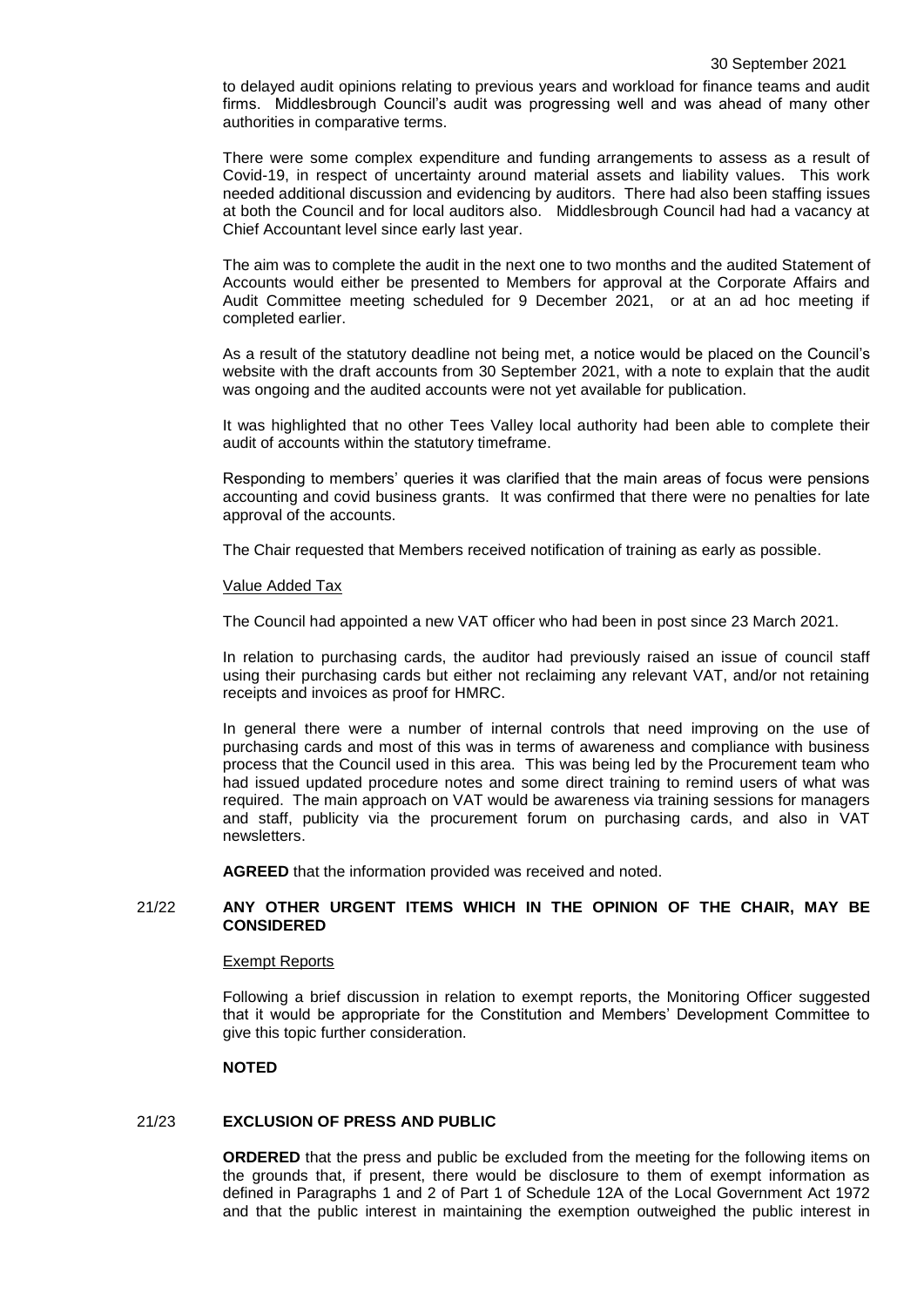to delayed audit opinions relating to previous years and workload for finance teams and audit firms. Middlesbrough Council's audit was progressing well and was ahead of many other authorities in comparative terms.

There were some complex expenditure and funding arrangements to assess as a result of Covid-19, in respect of uncertainty around material assets and liability values. This work needed additional discussion and evidencing by auditors. There had also been staffing issues at both the Council and for local auditors also. Middlesbrough Council had had a vacancy at Chief Accountant level since early last year.

The aim was to complete the audit in the next one to two months and the audited Statement of Accounts would either be presented to Members for approval at the Corporate Affairs and Audit Committee meeting scheduled for 9 December 2021, or at an ad hoc meeting if completed earlier.

As a result of the statutory deadline not being met, a notice would be placed on the Council's website with the draft accounts from 30 September 2021, with a note to explain that the audit was ongoing and the audited accounts were not yet available for publication.

It was highlighted that no other Tees Valley local authority had been able to complete their audit of accounts within the statutory timeframe.

Responding to members' queries it was clarified that the main areas of focus were pensions accounting and covid business grants. It was confirmed that there were no penalties for late approval of the accounts.

The Chair requested that Members received notification of training as early as possible.

#### Value Added Tax

The Council had appointed a new VAT officer who had been in post since 23 March 2021.

In relation to purchasing cards, the auditor had previously raised an issue of council staff using their purchasing cards but either not reclaiming any relevant VAT, and/or not retaining receipts and invoices as proof for HMRC.

In general there were a number of internal controls that need improving on the use of purchasing cards and most of this was in terms of awareness and compliance with business process that the Council used in this area. This was being led by the Procurement team who had issued updated procedure notes and some direct training to remind users of what was required. The main approach on VAT would be awareness via training sessions for managers and staff, publicity via the procurement forum on purchasing cards, and also in VAT newsletters.

**AGREED** that the information provided was received and noted.

## 21/22 **ANY OTHER URGENT ITEMS WHICH IN THE OPINION OF THE CHAIR, MAY BE CONSIDERED**

#### Exempt Reports

Following a brief discussion in relation to exempt reports, the Monitoring Officer suggested that it would be appropriate for the Constitution and Members' Development Committee to give this topic further consideration.

## **NOTED**

# 21/23 **EXCLUSION OF PRESS AND PUBLIC**

**ORDERED** that the press and public be excluded from the meeting for the following items on the grounds that, if present, there would be disclosure to them of exempt information as defined in Paragraphs 1 and 2 of Part 1 of Schedule 12A of the Local Government Act 1972 and that the public interest in maintaining the exemption outweighed the public interest in